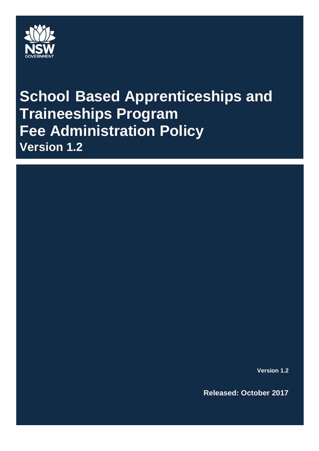

# **School Based Apprenticeships and Traineeships Program Fee Administration Policy Version 1.2**

**Version 1.2**

**Released: October 2017**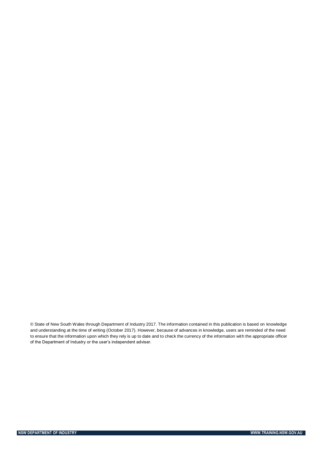© State of New South Wales through Department of Industry 2017. The information contained in this publication is based on knowledge and understanding at the time of writing (October 2017). However, because of advances in knowledge, users are reminded of the need to ensure that the information upon which they rely is up to date and to check the currency of the information with the appropriate officer of the Department of Industry or the user's independent adviser.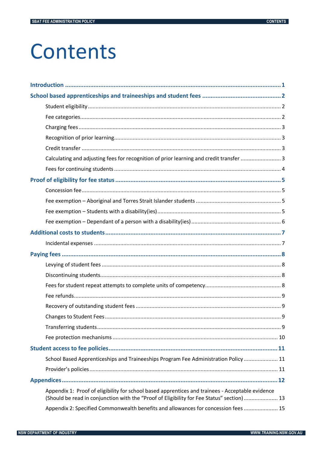# Contents

| Calculating and adjusting fees for recognition of prior learning and credit transfer  3                                                                                                       |  |
|-----------------------------------------------------------------------------------------------------------------------------------------------------------------------------------------------|--|
|                                                                                                                                                                                               |  |
|                                                                                                                                                                                               |  |
|                                                                                                                                                                                               |  |
|                                                                                                                                                                                               |  |
|                                                                                                                                                                                               |  |
|                                                                                                                                                                                               |  |
|                                                                                                                                                                                               |  |
|                                                                                                                                                                                               |  |
|                                                                                                                                                                                               |  |
|                                                                                                                                                                                               |  |
|                                                                                                                                                                                               |  |
|                                                                                                                                                                                               |  |
|                                                                                                                                                                                               |  |
|                                                                                                                                                                                               |  |
|                                                                                                                                                                                               |  |
|                                                                                                                                                                                               |  |
|                                                                                                                                                                                               |  |
|                                                                                                                                                                                               |  |
|                                                                                                                                                                                               |  |
|                                                                                                                                                                                               |  |
| School Based Apprenticeships and Traineeships Program Fee Administration Policy  11                                                                                                           |  |
|                                                                                                                                                                                               |  |
|                                                                                                                                                                                               |  |
| Appendix 1: Proof of eligibility for school based apprentices and trainees - Acceptable evidence<br>(Should be read in conjunction with the "Proof of Eligibility for Fee Status" section) 13 |  |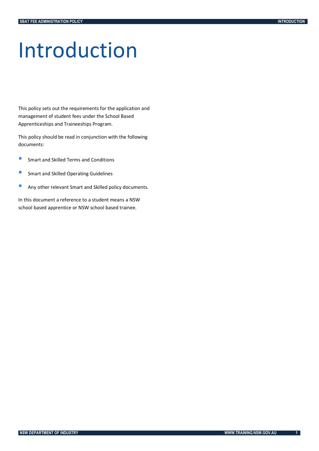# <span id="page-3-0"></span>Introduction

This policy sets out the requirements for the application and management of student fees under the School Based Apprenticeships and Traineeships Program.

This policy should be read in conjunction with the following documents:

- **Smart and Skilled Terms and Conditions**
- **Smart and Skilled Operating Guidelines**
- **Any other relevant Smart and Skilled policy documents.**

In this document a reference to a student means a NSW school based apprentice or NSW school based trainee.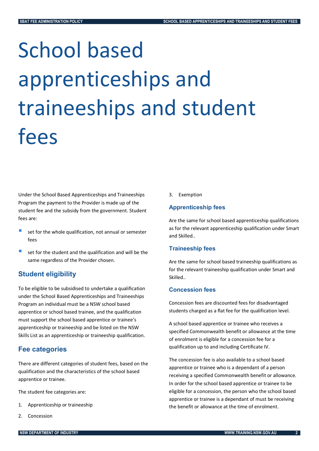# <span id="page-4-0"></span>School based apprenticeships and traineeships and student fees

Under the School Based Apprenticeships and Traineeships Program the payment to the Provider is made up of the student fee and the subsidy from the government. Student fees are:

- set for the whole qualification, not annual or semester fees
- set for the student and the qualification and will be the same regardless of the Provider chosen.

# <span id="page-4-1"></span>**Student eligibility**

To be eligible to be subsidised to undertake a qualification under the School Based Apprenticeships and Traineeships Program an individual must be a NSW school based apprentice or school based trainee, and the qualification must support the school based apprentice or trainee's apprenticeship or traineeship and be listed on the NSW Skills List as an apprenticeship or traineeship qualification.

# <span id="page-4-2"></span>**Fee categories**

There are different categories of student fees, based on the qualification and the characteristics of the school based apprentice or trainee.

The student fee categories are:

- 1. Apprenticeship or traineeship
- 2. Concession

3. Exemption

#### **Apprenticeship fees**

Are the same for school based apprenticeship qualifications as for the relevant apprenticeship qualification under Smart and Skilled..

#### **Traineeship fees**

Are the same for school based traineeship qualifications as for the relevant traineeship qualification under Smart and Skilled..

#### **Concession fees**

Concession fees are discounted fees for disadvantaged students charged as a flat fee for the qualification level.

A school based apprentice or trainee who receives a specified Commonwealth benefit or allowance at the time of enrolment is eligible for a concession fee for a qualification up to and including Certificate IV.

The concession fee is also available to a school based apprentice or trainee who is a dependant of a person receiving a specified Commonwealth benefit or allowance. In order for the school based apprentice or trainee to be eligible for a concession, the person who the school based apprentice or trainee is a dependant of must be receiving the benefit or allowance at the time of enrolment.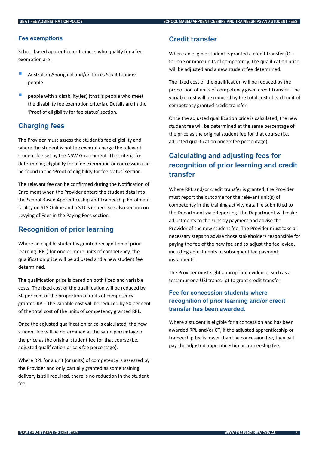#### **Fee exemptions**

School based apprentice or trainees who qualify for a fee exemption are:

- Australian Aboriginal and/or Torres Strait Islander people
- people with a disability(ies) (that is people who meet the disability fee exemption criteria). Details are in the 'Proof of eligibility for fee status' section.

### <span id="page-5-0"></span>**Charging fees**

The Provider must assess the student's fee eligibility and where the student is not fee exempt charge the relevant student fee set by the NSW Government. The criteria for determining eligibility for a fee exemption or concession can be found in the 'Proof of eligibility for fee status' section.

The relevant fee can be confirmed during the Notification of Enrolment when the Provider enters the student data into the School Based Apprenticeship and Traineeship Enrolment facility on STS Online and a SID is issued. See also section on Levying of Fees in the Paying Fees section.

# <span id="page-5-1"></span>**Recognition of prior learning**

Where an eligible student is granted recognition of prior learning (RPL) for one or more units of competency, the qualification price will be adjusted and a new student fee determined.

The qualification price is based on both fixed and variable costs. The fixed cost of the qualification will be reduced by 50 per cent of the proportion of units of competency granted RPL. The variable cost will be reduced by 50 per cent of the total cost of the units of competency granted RPL.

Once the adjusted qualification price is calculated, the new student fee will be determined at the same percentage of the price as the original student fee for that course (i.e. adjusted qualification price x fee percentage).

Where RPL for a unit (or units) of competency is assessed by the Provider and only partially granted as some training delivery is still required, there is no reduction in the student fee.

### <span id="page-5-2"></span>**Credit transfer**

Where an eligible student is granted a credit transfer (CT) for one or more units of competency, the qualification price will be adjusted and a new student fee determined.

The fixed cost of the qualification will be reduced by the proportion of units of competency given credit transfer. The variable cost will be reduced by the total cost of each unit of competency granted credit transfer.

Once the adjusted qualification price is calculated, the new student fee will be determined at the same percentage of the price as the original student fee for that course (i.e. adjusted qualification price x fee percentage).

# <span id="page-5-3"></span>**Calculating and adjusting fees for recognition of prior learning and credit transfer**

Where RPL and/or credit transfer is granted, the Provider must report the outcome for the relevant unit(s) of competency in the training activity data file submitted to the Department via eReporting. The Department will make adjustments to the subsidy payment and advise the Provider of the new student fee. The Provider must take all necessary steps to advise those stakeholders responsible for paying the fee of the new fee and to adjust the fee levied, including adjustments to subsequent fee payment instalments.

The Provider must sight appropriate evidence, such as a testamur or a USI transcript to grant credit transfer.

# **Fee for concession students where recognition of prior learning and/or credit transfer has been awarded.**

Where a student is eligible for a concession and has been awarded RPL and/or CT, if the adjusted apprenticeship or traineeship fee is lower than the concession fee, they will pay the adjusted apprenticeship or traineeship fee.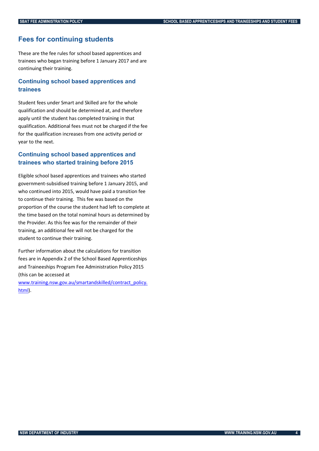#### <span id="page-6-0"></span>**Fees for continuing students**

These are the fee rules for school based apprentices and trainees who began training before 1 January 2017 and are continuing their training.

### **Continuing school based apprentices and trainees**

Student fees under Smart and Skilled are for the whole qualification and should be determined at, and therefore apply until the student has completed training in that qualification. Additional fees must not be charged if the fee for the qualification increases from one activity period or year to the next.

#### **Continuing school based apprentices and trainees who started training before 2015**

Eligible school based apprentices and trainees who started government-subsidised training before 1 January 2015, and who continued into 2015, would have paid a transition fee to continue their training. This fee was based on the proportion of the course the student had left to complete at the time based on the total nominal hours as determined by the Provider. As this fee was for the remainder of their training, an additional fee will not be charged for the student to continue their training.

Further information about the calculations for transition fees are in Appendix 2 of the School Based Apprenticeships and Traineeships Program Fee Administration Policy 2015 (this can be accessed at

[www.training.nsw.gov.au/smartandskilled/contract\\_policy.](http://www.training.nsw.gov.au/smartandskilled/contract_policy.html) [html\)](http://www.training.nsw.gov.au/smartandskilled/contract_policy.html).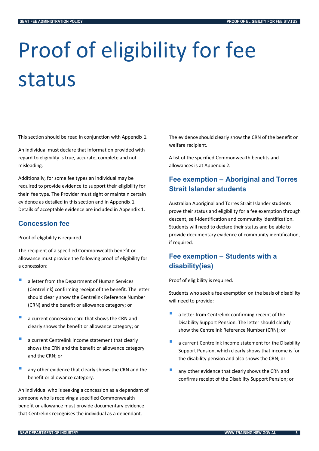# <span id="page-7-0"></span>Proof of eligibility for fee status

This section should be read in conjunction with Appendix 1.

An individual must declare that information provided with regard to eligibility is true, accurate, complete and not misleading.

Additionally, for some fee types an individual may be required to provide evidence to support their eligibility for their fee type. The Provider must sight or maintain certain evidence as detailed in this section and in Appendix 1. Details of acceptable evidence are included in Appendix 1.

# <span id="page-7-1"></span>**Concession fee**

Proof of eligibility is required.

The recipient of a specified Commonwealth benefit or allowance must provide the following proof of eligibility for a concession:

- **a** letter from the Department of Human Services (Centrelink) confirming receipt of the benefit. The letter should clearly show the Centrelink Reference Number (CRN) and the benefit or allowance category; or
- a current concession card that shows the CRN and clearly shows the benefit or allowance category; or
- a current Centrelink income statement that clearly shows the CRN and the benefit or allowance category and the CRN; or
- any other evidence that clearly shows the CRN and the benefit or allowance category.

An individual who is seeking a concession as a dependant of someone who is receiving a specified Commonwealth benefit or allowance must provide documentary evidence that Centrelink recognises the individual as a dependant.

The evidence should clearly show the CRN of the benefit or welfare recipient.

A list of the specified Commonwealth benefits and allowances is at Appendix 2.

# <span id="page-7-2"></span>**Fee exemption – Aboriginal and Torres Strait Islander students**

Australian Aboriginal and Torres Strait Islander students prove their status and eligibility for a fee exemption through descent, self-identification and community identification. Students will need to declare their status and be able to provide documentary evidence of community identification, if required.

# <span id="page-7-3"></span>**Fee exemption – Students with a disability(ies)**

Proof of eligibility is required.

Students who seek a fee exemption on the basis of disability will need to provide:

- a letter from Centrelink confirming receipt of the Disability Support Pension. The letter should clearly show the Centrelink Reference Number (CRN); or
- a current Centrelink income statement for the Disability Support Pension, which clearly shows that income is for the disability pension and also shows the CRN; or
- any other evidence that clearly shows the CRN and confirms receipt of the Disability Support Pension; or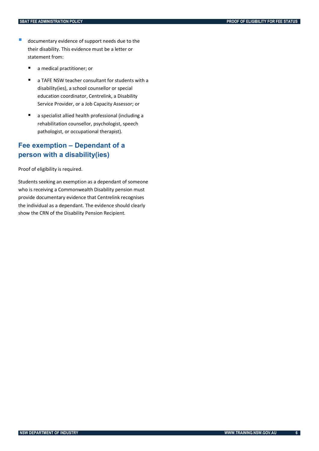- **documentary evidence of support needs due to the** their disability. This evidence must be a letter or statement from:
	- a medical practitioner; or
	- a TAFE NSW teacher consultant for students with a disability(ies), a school counsellor or special education coordinator, Centrelink, a Disability Service Provider, or a Job Capacity Assessor; or
	- a specialist allied health professional (including a rehabilitation counsellor, psychologist, speech pathologist, or occupational therapist).

# <span id="page-8-0"></span>**Fee exemption – Dependant of a person with a disability(ies)**

Proof of eligibility is required.

Students seeking an exemption as a dependant of someone who is receiving a Commonwealth Disability pension must provide documentary evidence that Centrelink recognises the individual as a dependant. The evidence should clearly show the CRN of the Disability Pension Recipient.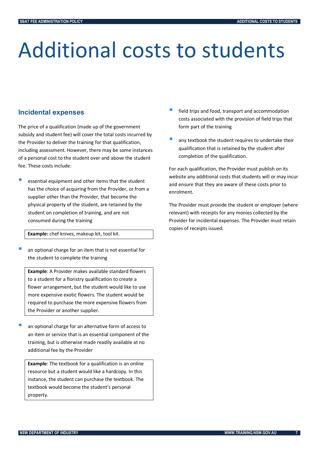# <span id="page-9-0"></span>Additional costs to students

# <span id="page-9-1"></span>**Incidental expenses**

The price of a qualification (made up of the government subsidy and student fee) will cover the total costs incurred by the Provider to deliver the training for that qualification, including assessment. However, there may be some instances of a personal cost to the student over and above the student fee. These costs include:

 essential equipment and other items that the student has the choice of acquiring from the Provider, or from a supplier other than the Provider, that become the physical property of the student, are retained by the student on completion of training, and are not consumed during the training

**Example:** chef knives, makeup kit, tool kit.

 an optional charge for an item that is not essential for the student to complete the training

**Example**: A Provider makes available standard flowers to a student for a floristry qualification to create a flower arrangement, but the student would like to use more expensive exotic flowers. The student would be required to purchase the more expensive flowers from the Provider or another supplier.

 an optional charge for an alternative form of access to an item or service that is an essential component of the training, but is otherwise made readily available at no additional fee by the Provider

**Example**: The textbook for a qualification is an online resource but a student would like a hardcopy. In this instance, the student can purchase the textbook. The textbook would become the student's personal property.

- field trips and food, transport and accommodation costs associated with the provision of field trips that form part of the training
- any textbook the student requires to undertake their qualification that is retained by the student after completion of the qualification.

For each qualification, the Provider must publish on its website any additional costs that students will or may incur and ensure that they are aware of these costs prior to enrolment.

The Provider must provide the student or employer (where relevant) with receipts for any monies collected by the Provider for incidental expenses. The Provider must retain copies of receipts issued.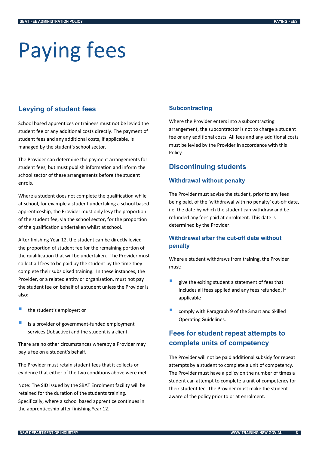# <span id="page-10-0"></span>Paying fees

# <span id="page-10-1"></span>**Levying of student fees**

School based apprentices or trainees must not be levied the student fee or any additional costs directly. The payment of student fees and any additional costs, if applicable, is managed by the student's school sector.

The Provider can determine the payment arrangements for student fees, but must publish information and inform the school sector of these arrangements before the student enrols.

Where a student does not complete the qualification while at school, for example a student undertaking a school based apprenticeship, the Provider must only levy the proportion of the student fee, via the school sector, for the proportion of the qualification undertaken whilst at school.

After finishing Year 12, the student can be directly levied the proportion of student fee for the remaining portion of the qualification that will be undertaken. The Provider must collect all fees to be paid by the student by the time they complete their subsidised training. In these instances, the Provider, or a related entity or organisation, must not pay the student fee on behalf of a student unless the Provider is also:

- the student's employer; or
- is a provider of government-funded employment services (Jobactive) and the student is a client.

There are no other circumstances whereby a Provider may pay a fee on a student's behalf.

The Provider must retain student fees that it collects or evidence that either of the two conditions above were met.

Note: The SID issued by the SBAT Enrolment facility will be retained for the duration of the students training. Specifically, where a school based apprentice continues in the apprenticeship after finishing Year 12.

#### **Subcontracting**

Where the Provider enters into a subcontracting arrangement, the subcontractor is not to charge a student fee or any additional costs. All fees and any additional costs must be levied by the Provider in accordance with this Policy.

### <span id="page-10-2"></span>**Discontinuing students**

#### **Withdrawal without penalty**

The Provider must advise the student, prior to any fees being paid, of the 'withdrawal with no penalty' cut-off date, i.e. the date by which the student can withdraw and be refunded any fees paid at enrolment. This date is determined by the Provider.

### **Withdrawal after the cut-off date without penalty**

Where a student withdraws from training, the Provider must:

- give the exiting student a statement of fees that includes all fees applied and any fees refunded, if applicable
- comply with Paragraph 9 of the Smart and Skilled Operating Guidelines.

# <span id="page-10-3"></span>**Fees for student repeat attempts to complete units of competency**

The Provider will not be paid additional subsidy for repeat attempts by a student to complete a unit of competency. The Provider must have a policy on the number of times a student can attempt to complete a unit of competency for their student fee. The Provider must make the student aware of the policy prior to or at enrolment.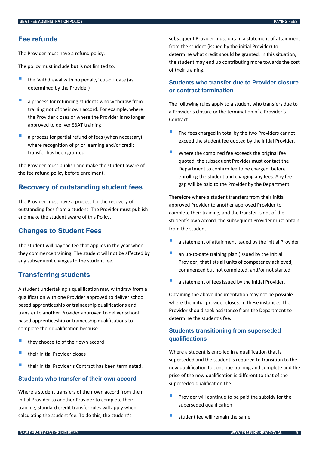### <span id="page-11-0"></span>**Fee refunds**

The Provider must have a refund policy.

The policy must include but is not limited to:

- the 'withdrawal with no penalty' cut-off date (as determined by the Provider)
- <sup>a</sup> process for refunding students who withdraw from training not of their own accord. For example, where the Provider closes or where the Provider is no longer approved to deliver SBAT training
- a process for partial refund of fees (when necessary) where recognition of prior learning and/or credit transfer has been granted.

The Provider must publish and make the student aware of the fee refund policy before enrolment.

# <span id="page-11-1"></span>**Recovery of outstanding student fees**

The Provider must have a process for the recovery of outstanding fees from a student. The Provider must publish and make the student aware of this Policy.

#### <span id="page-11-2"></span>**Changes to Student Fees**

The student will pay the fee that applies in the year when they commence training. The student will not be affected by any subsequent changes to the student fee.

#### <span id="page-11-3"></span>**Transferring students**

A student undertaking a qualification may withdraw from a qualification with one Provider approved to deliver school based apprenticeship or traineeship qualifications and transfer to another Provider approved to deliver school based apprenticeship or traineeship qualifications to complete their qualification because:

- they choose to of their own accord
- their initial Provider closes
- their initial Provider's Contract has been terminated.

#### **Students who transfer of their own accord**

Where a student transfers of their own accord from their initial Provider to another Provider to complete their training, standard credit transfer rules will apply when calculating the student fee. To do this, the student's

subsequent Provider must obtain a statement of attainment from the student (issued by the initial Provider) to determine what credit should be granted. In this situation, the student may end up contributing more towards the cost of their training.

#### **Students who transfer due to Provider closure or contract termination**

The following rules apply to a student who transfers due to a Provider's closure or the termination of a Provider's Contract:

- The fees charged in total by the two Providers cannot exceed the student fee quoted by the initial Provider.
- Where the combined fee exceeds the original fee quoted, the subsequent Provider must contact the Department to confirm fee to be charged, before enrolling the student and charging any fees. Any fee gap will be paid to the Provider by the Department.

Therefore where a student transfers from their initial approved Provider to another approved Provider to complete their training, and the transfer is not of the student's own accord, the subsequent Provider must obtain from the student:

- a statement of attainment issued by the initial Provider
- an up-to-date training plan (issued by the initial Provider) that lists all units of competency achieved, commenced but not completed, and/or not started
- a statement of fees issued by the initial Provider.

Obtaining the above documentation may not be possible where the initial provider closes. In these instances, the Provider should seek assistance from the Department to determine the student's fee.

### **Students transitioning from superseded qualifications**

Where a student is enrolled in a qualification that is superseded and the student is required to transition to the new qualification to continue training and complete and the price of the new qualification is different to that of the superseded qualification the:

- Provider will continue to be paid the subsidy for the superseded qualification
- student fee will remain the same.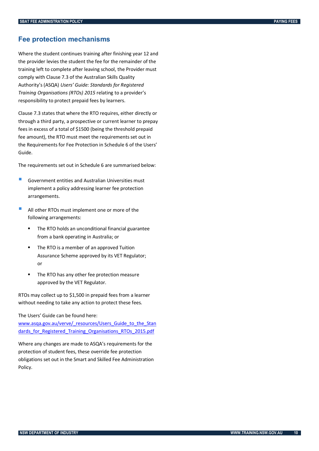### <span id="page-12-0"></span>**Fee protection mechanisms**

Where the student continues training after finishing year 12 and the provider levies the student the fee for the remainder of the training left to complete after leaving school, the Provider must comply with Clause 7.3 of the Australian Skills Quality Authority's (ASQA) *Users' Guide: Standards for Registered Training Organisations (RTOs) 2015* relating to a provider's responsibility to protect prepaid fees by learners.

Clause 7.3 states that where the RTO requires, either directly or through a third party, a prospective or current learner to prepay fees in excess of a total of \$1500 (being the threshold prepaid fee amount), the RTO must meet the requirements set out in the Requirements for Fee Protection in Schedule 6 of the Users' Guide.

The requirements set out in Schedule 6 are summarised below:

- Government entities and Australian Universities must implement a policy addressing learner fee protection arrangements.
- All other RTOs must implement one or more of the following arrangements:
	- The RTO holds an unconditional financial guarantee from a bank operating in Australia; or
	- **F** The RTO is a member of an approved Tuition Assurance Scheme approved by its VET Regulator; or
	- The RTO has any other fee protection measure approved by the VET Regulator.

RTOs may collect up to \$1,500 in prepaid fees from a learner without needing to take any action to protect these fees.

The Users' Guide can be found here:

[www.asqa.gov.au/verve/\\_resources/Users\\_Guide\\_to\\_the\\_Stan](http://www.asqa.gov.au/verve/_resources/Users_Guide_to_the_Standards_for_Registered_Training_Organisations_RTOs_2015.pdf) dards for Registered Training Organisations RTOs 2015.pdf

Where any changes are made to ASQA's requirements for the protection of student fees, these override fee protection obligations set out in the Smart and Skilled Fee Administration Policy.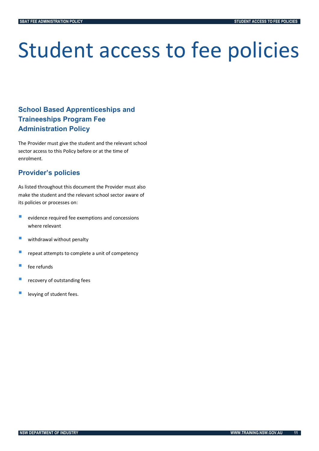# <span id="page-13-0"></span>Student access to fee policies

# <span id="page-13-1"></span>**School Based Apprenticeships and Traineeships Program Fee Administration Policy**

The Provider must give the student and the relevant school sector access to this Policy before or at the time of enrolment.

# <span id="page-13-2"></span>**Provider's policies**

As listed throughout this document the Provider must also make the student and the relevant school sector aware of its policies or processes on:

- $\blacksquare$  evidence required fee exemptions and concessions where relevant
- **Withdrawal without penalty**
- **P** repeat attempts to complete a unit of competency
- fee refunds
- recovery of outstanding fees
- levying of student fees.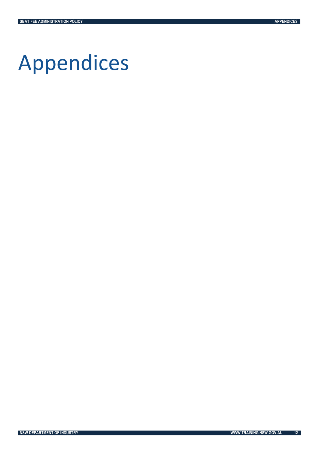# <span id="page-14-0"></span>Appendices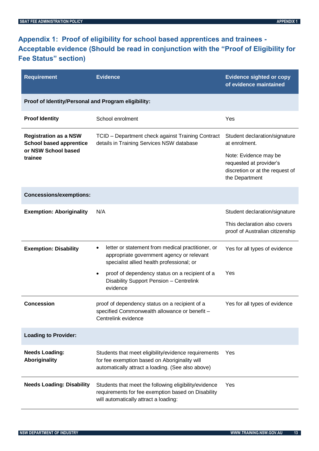# <span id="page-15-0"></span>**Appendix 1: Proof of eligibility for school based apprentices and trainees - Acceptable evidence (Should be read in conjunction with the "Proof of Eligibility for Fee Status" section)**

| <b>Requirement</b>                                                                               | <b>Evidence</b>                                                                                                                                            | <b>Evidence sighted or copy</b><br>of evidence maintained                                                                             |  |  |  |
|--------------------------------------------------------------------------------------------------|------------------------------------------------------------------------------------------------------------------------------------------------------------|---------------------------------------------------------------------------------------------------------------------------------------|--|--|--|
| Proof of Identity/Personal and Program eligibility:                                              |                                                                                                                                                            |                                                                                                                                       |  |  |  |
| <b>Proof Identity</b>                                                                            | School enrolment                                                                                                                                           | Yes                                                                                                                                   |  |  |  |
| <b>Registration as a NSW</b><br><b>School based apprentice</b><br>or NSW School based<br>trainee | TCID - Department check against Training Contract<br>details in Training Services NSW database                                                             | Student declaration/signature<br>at enrolment.<br>Note: Evidence may be<br>requested at provider's<br>discretion or at the request of |  |  |  |
|                                                                                                  |                                                                                                                                                            | the Department                                                                                                                        |  |  |  |
| <b>Concessions/exemptions:</b>                                                                   |                                                                                                                                                            |                                                                                                                                       |  |  |  |
| <b>Exemption: Aboriginality</b>                                                                  | N/A                                                                                                                                                        | Student declaration/signature                                                                                                         |  |  |  |
|                                                                                                  |                                                                                                                                                            | This declaration also covers<br>proof of Australian citizenship                                                                       |  |  |  |
| <b>Exemption: Disability</b>                                                                     | letter or statement from medical practitioner, or<br>٠<br>appropriate government agency or relevant<br>specialist allied health professional; or           | Yes for all types of evidence                                                                                                         |  |  |  |
|                                                                                                  | proof of dependency status on a recipient of a<br>$\bullet$<br>Disability Support Pension - Centrelink<br>evidence                                         | Yes                                                                                                                                   |  |  |  |
| <b>Concession</b>                                                                                | proof of dependency status on a recipient of a<br>specified Commonwealth allowance or benefit -<br>Centrelink evidence                                     | Yes for all types of evidence                                                                                                         |  |  |  |
| <b>Loading to Provider:</b>                                                                      |                                                                                                                                                            |                                                                                                                                       |  |  |  |
| <b>Needs Loading:</b><br>Aboriginality                                                           | Students that meet eligibility/evidence requirements<br>for fee exemption based on Aboriginality will<br>automatically attract a loading. (See also above) | Yes                                                                                                                                   |  |  |  |
| <b>Needs Loading: Disability</b>                                                                 | Students that meet the following eligibility/evidence<br>requirements for fee exemption based on Disability<br>will automatically attract a loading:       | Yes                                                                                                                                   |  |  |  |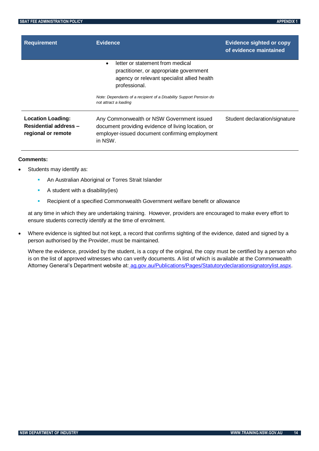| <b>Requirement</b>                                                             | <b>Evidence</b>                                                                                                                                                                                                                                         | <b>Evidence sighted or copy</b><br>of evidence maintained |
|--------------------------------------------------------------------------------|---------------------------------------------------------------------------------------------------------------------------------------------------------------------------------------------------------------------------------------------------------|-----------------------------------------------------------|
|                                                                                | letter or statement from medical<br>$\bullet$<br>practitioner, or appropriate government<br>agency or relevant specialist allied health<br>professional.<br>Note: Dependants of a recipient of a Disability Support Pension do<br>not attract a loading |                                                           |
| <b>Location Loading:</b><br><b>Residential address -</b><br>regional or remote | Any Commonwealth or NSW Government issued<br>document providing evidence of living location, or<br>employer-issued document confirming employment<br>in NSW.                                                                                            | Student declaration/signature                             |

#### **Comments:**

- Students may identify as:
	- **An Australian Aboriginal or Torres Strait Islander**
	- $\blacksquare$  A student with a disability(ies)
	- Recipient of a specified Commonwealth Government welfare benefit or allowance

at any time in which they are undertaking training. However, providers are encouraged to make every effort to ensure students correctly identify at the time of enrolment.

 Where evidence is sighted but not kept, a record that confirms sighting of the evidence, dated and signed by a person authorised by the Provider, must be maintained.

Where the evidence, provided by the student, is a copy of the original, the copy must be certified by a person who is on the list of approved witnesses who can verify documents. A list of which is available at the Commonwealth Attorney General's Department website at: [ag.gov.au/Publications/Pages/Statutorydeclarationsignatorylist.aspx.](http://www.ag.gov.au/Publications/Pages/Statutorydeclarationsignatorylist.aspx)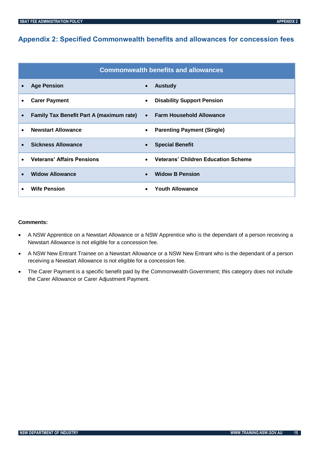# <span id="page-17-0"></span>**Appendix 2: Specified Commonwealth benefits and allowances for concession fees**

|                                                 | <b>Commonwealth benefits and allowances</b> |
|-------------------------------------------------|---------------------------------------------|
| <b>Age Pension</b>                              | <b>Austudy</b>                              |
| $\bullet$                                       | $\bullet$                                   |
| <b>Carer Payment</b>                            | <b>Disability Support Pension</b>           |
| ٠                                               | $\bullet$                                   |
| <b>Family Tax Benefit Part A (maximum rate)</b> | <b>Farm Household Allowance</b>             |
| $\bullet$                                       | $\bullet$                                   |
| <b>Newstart Allowance</b>                       | <b>Parenting Payment (Single)</b>           |
| $\bullet$                                       | $\bullet$                                   |
| <b>Sickness Allowance</b>                       | <b>Special Benefit</b>                      |
| $\bullet$                                       | $\bullet$                                   |
| <b>Veterans' Affairs Pensions</b>               | <b>Veterans' Children Education Scheme</b>  |
| $\bullet$                                       | $\bullet$                                   |
| <b>Widow Allowance</b>                          | <b>Widow B Pension</b>                      |
| $\bullet$                                       | $\bullet$                                   |
| <b>Wife Pension</b>                             | <b>Youth Allowance</b>                      |

#### **Comments:**

- A NSW Apprentice on a Newstart Allowance or a NSW Apprentice who is the dependant of a person receiving a Newstart Allowance is not eligible for a concession fee.
- A NSW New Entrant Trainee on a Newstart Allowance or a NSW New Entrant who is the dependant of a person receiving a Newstart Allowance is not eligible for a concession fee.
- The Carer Payment is a specific benefit paid by the Commonwealth Government; this category does not include the Carer Allowance or Carer Adjustment Payment.